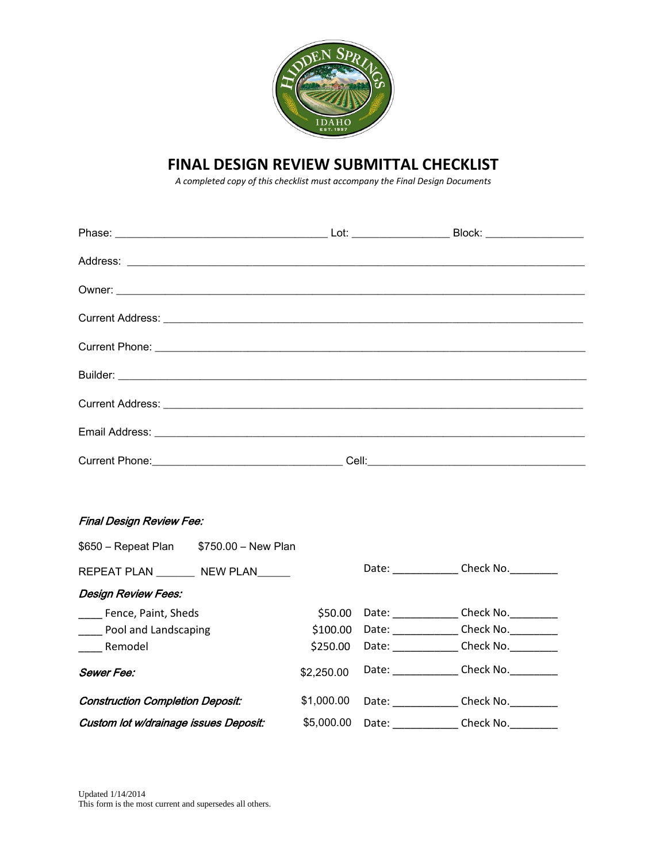

## **FINAL DESIGN REVIEW SUBMITTAL CHECKLIST**

*A completed copy of this checklist must accompany the Final Design Documents*

## Final Design Review Fee:

| \$650 - Repeat Plan                     | \$750.00 - New Plan |            |                                                                                                                                                                                                                                |           |
|-----------------------------------------|---------------------|------------|--------------------------------------------------------------------------------------------------------------------------------------------------------------------------------------------------------------------------------|-----------|
| REPEAT PLAN NEW PLAN                    |                     |            | Date:                                                                                                                                                                                                                          | Check No. |
| <b>Design Review Fees:</b>              |                     |            |                                                                                                                                                                                                                                |           |
| Fence, Paint, Sheds                     |                     | \$50.00    | Date:                                                                                                                                                                                                                          | Check No. |
| Pool and Landscaping                    |                     | \$100.00   | Date:                                                                                                                                                                                                                          | Check No. |
| Remodel                                 |                     | \$250.00   | Date: the control of the control of the control of the control of the control of the control of the control of the control of the control of the control of the control of the control of the control of the control of the co | Check No. |
| Sewer Fee:                              |                     | \$2,250.00 | Date: the control of the control of the control of the control of the control of the control of the control of the control of the control of the control of the control of the control of the control of the control of the co | Check No. |
| <b>Construction Completion Deposit:</b> |                     | \$1,000.00 | Date: the part of the part of the part of the part of the part of the part of the part of the part of the part of the part of the part of the part of the part of the part of the part of the part of the part of the part of  | Check No. |
| Custom lot w/drainage issues Deposit:   |                     | \$5,000,00 | Date:                                                                                                                                                                                                                          | Check No. |